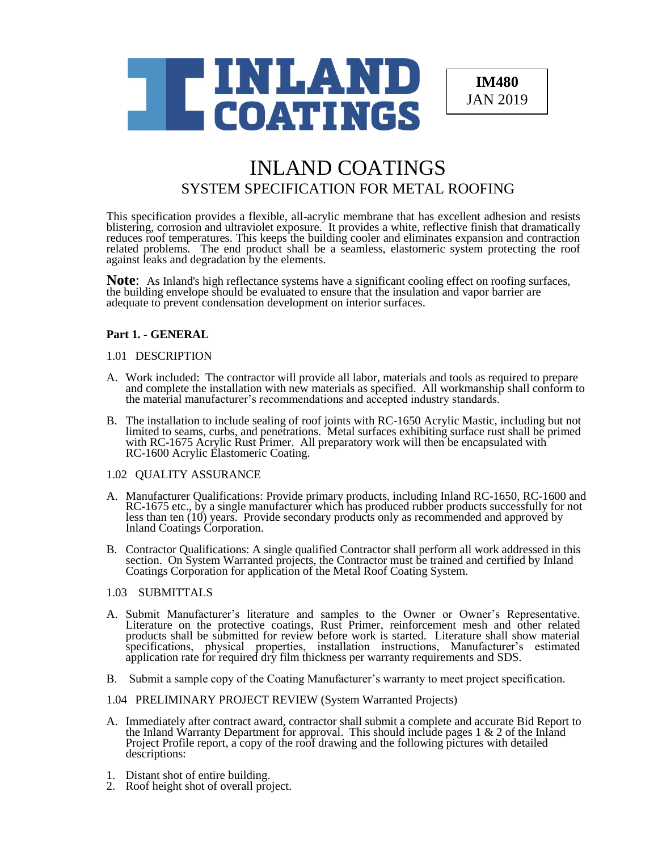

**IM480** JAN 2019

# INLAND COATINGS SYSTEM SPECIFICATION FOR METAL ROOFING

This specification provides a flexible, all-acrylic membrane that has excellent adhesion and resists blistering, corrosion and ultraviolet exposure. It provides a white, reflective finish that dramatically reduces roof temperatures. This keeps the building cooler and eliminates expansion and contraction related problems. The end product shall be a seamless, elastomeric system protecting the roof against leaks and degradation by the elements.

**Note**: As Inland's high reflectance systems have a significant cooling effect on roofing surfaces, the building envelope should be evaluated to ensure that the insulation and vapor barrier are adequate to prevent condensation development on interior surfaces.

# **Part 1. - GENERAL**

# 1.01 DESCRIPTION

- A. Work included: The contractor will provide all labor, materials and tools as required to prepare and complete the installation with new materials as specified. All workmanship shall conform to the material manufacturer's recommendations and accepted industry standards.
- B. The installation to include sealing of roof joints with RC-1650 Acrylic Mastic, including but not limited to seams, curbs, and penetrations. Metal surfaces exhibiting surface rust shall be primed with RC-1675 Acrylic Rust Primer. All preparatory work will then be encapsulated with RC-1600 Acrylic Elastomeric Coating.

# 1.02 QUALITY ASSURANCE

- A. Manufacturer Qualifications: Provide primary products, including Inland RC-1650, RC-1600 and RC-1675 etc., by a single manufacturer which has produced rubber products successfully for not less than ten (10) years. Provide secondary products only as recommended and approved by Inland Coatings Corporation.
- B. Contractor Qualifications: A single qualified Contractor shall perform all work addressed in this section. On System Warranted projects, the Contractor must be trained and certified by Inland Coatings Corporation for application of the Metal Roof Coating System.

# 1.03 SUBMITTALS

- A. Submit Manufacturer's literature and samples to the Owner or Owner's Representative. Literature on the protective coatings, Rust Primer, reinforcement mesh and other related products shall be submitted for review before work is started. Literature shall show material specifications, physical properties, installation instructions, Manufacturer's estimated application rate for required dry film thickness per warranty requirements and SDS.
- B. Submit a sample copy of the Coating Manufacturer's warranty to meet project specification.

# 1.04 PRELIMINARY PROJECT REVIEW (System Warranted Projects)

- A. Immediately after contract award, contractor shall submit a complete and accurate Bid Report to the Inland Warranty Department for approval. This should include pages 1  $\&$  2 of the Inland Project Profile report, a copy of the roof drawing and the following pictures with detailed descriptions:
- 1. Distant shot of entire building.
- 2. Roof height shot of overall project.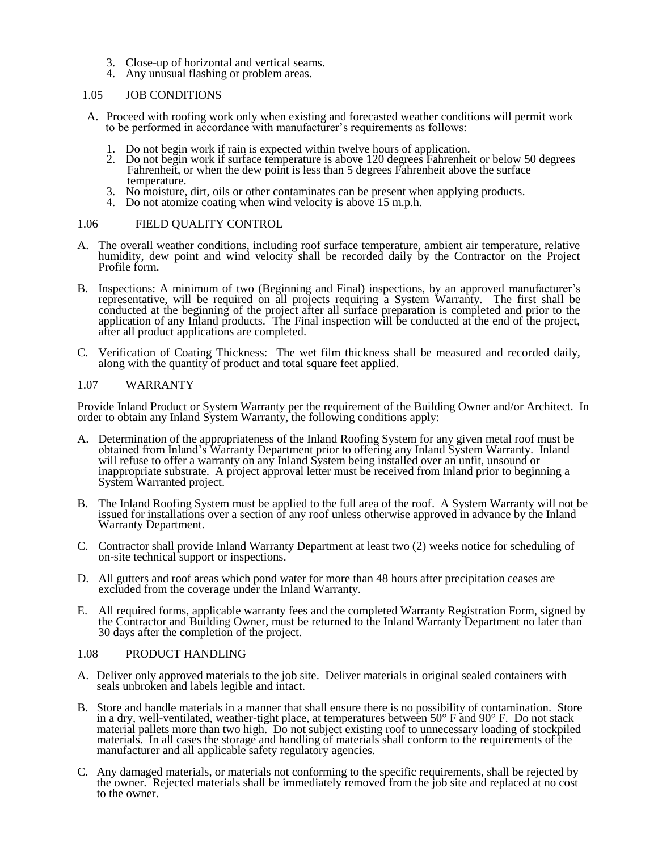- 3. Close-up of horizontal and vertical seams.
- 4. Any unusual flashing or problem areas.

#### 1.05 JOB CONDITIONS

- A. Proceed with roofing work only when existing and forecasted weather conditions will permit work to be performed in accordance with manufacturer's requirements as follows:
	- 1. Do not begin work if rain is expected within twelve hours of application.
	- 2. Do not begin work if surface temperature is above 120 degrees Fahrenheit or below 50 degrees Fahrenheit, or when the dew point is less than 5 degrees Fahrenheit above the surface temperature.
	- 3. No moisture, dirt, oils or other contaminates can be present when applying products.
	- 4. Do not atomize coating when wind velocity is above 15 m.p.h.

# 1.06 FIELD QUALITY CONTROL

- A. The overall weather conditions, including roof surface temperature, ambient air temperature, relative humidity, dew point and wind velocity shall be recorded daily by the Contractor on the Project Profile form.
- B. Inspections: A minimum of two (Beginning and Final) inspections, by an approved manufacturer's representative, will be required on all projects requiring a System Warranty. The first shall be conducted at the beginning of the project after all surface preparation is completed and prior to the application of any Inland products. The Final inspection will be conducted at the end of the project, after all product applications are completed.
- C. Verification of Coating Thickness: The wet film thickness shall be measured and recorded daily, along with the quantity of product and total square feet applied.

# 1.07 WARRANTY

Provide Inland Product or System Warranty per the requirement of the Building Owner and/or Architect. In order to obtain any Inland System Warranty, the following conditions apply:

- A. Determination of the appropriateness of the Inland Roofing System for any given metal roof must be obtained from Inland's Warranty Department prior to offering any Inland System Warranty. Inland will refuse to offer a warranty on any Inland System being installed over an unfit, unsound or inappropriate substrate. A project approval letter must be received from Inland prior to beginning a System Warranted project.
- B. The Inland Roofing System must be applied to the full area of the roof. A System Warranty will not be issued for installations over a section of any roof unless otherwise approved in advance by the Inland Warranty Department.
- C. Contractor shall provide Inland Warranty Department at least two (2) weeks notice for scheduling of on-site technical support or inspections.
- D. All gutters and roof areas which pond water for more than 48 hours after precipitation ceases are excluded from the coverage under the Inland Warranty.
- E. All required forms, applicable warranty fees and the completed Warranty Registration Form, signed by the Contractor and Building Owner, must be returned to the Inland Warranty Department no later than 30 days after the completion of the project.

# 1.08 PRODUCT HANDLING

- A. Deliver only approved materials to the job site. Deliver materials in original sealed containers with seals unbroken and labels legible and intact.
- B. Store and handle materials in a manner that shall ensure there is no possibility of contamination. Store in a dry, well-ventilated, weather-tight place, at temperatures between  $50^{\circ}$  F and  $90^{\circ}$  F. Do not stack material pallets more than two high. Do not subject existing roof to unnecessary loading of stockpiled materials. In all cases the storage and handling of materials shall conform to the requirements of the manufacturer and all applicable safety regulatory agencies.
- C. Any damaged materials, or materials not conforming to the specific requirements, shall be rejected by the owner. Rejected materials shall be immediately removed from the job site and replaced at no cost to the owner.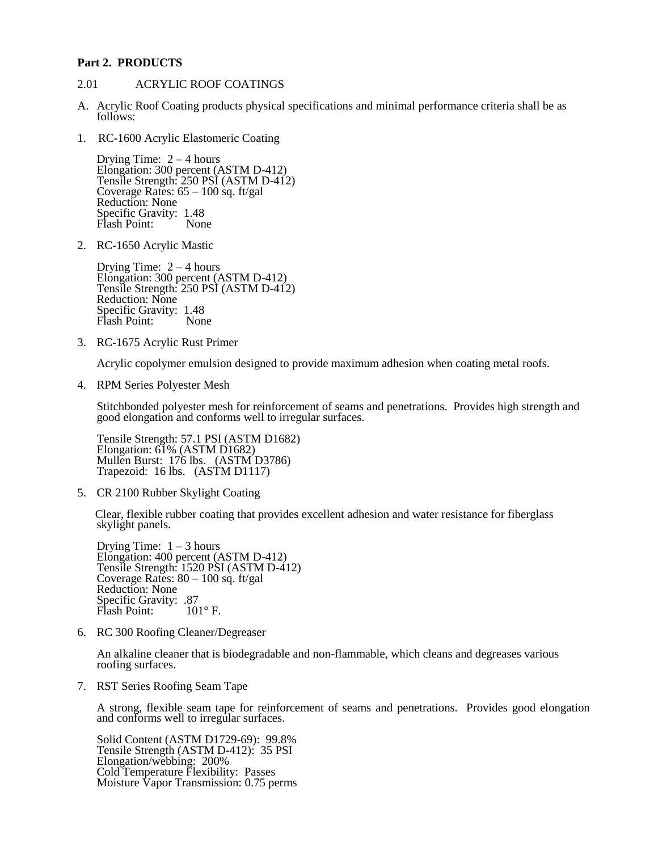#### **Part 2. PRODUCTS**

#### 2.01 ACRYLIC ROOF COATINGS

- A. Acrylic Roof Coating products physical specifications and minimal performance criteria shall be as follows:
- 1. RC-1600 Acrylic Elastomeric Coating

Drying Time:  $2 - 4$  hours Elongation: 300 percent (ASTM D-412) Tensile Strength: 250 PSI (ASTM D-412) Coverage Rates: 65 – 100 sq. ft/gal Reduction: None Specific Gravity: 1.48<br>Flash Point: None Flash Point:

2. RC-1650 Acrylic Mastic

Drying Time:  $2 - 4$  hours Elongation: 300 percent (ASTM D-412) Tensile Strength: 250 PSI (ASTM D-412) Reduction: None Specific Gravity: 1.48 Flash Point: None

3. RC-1675 Acrylic Rust Primer

Acrylic copolymer emulsion designed to provide maximum adhesion when coating metal roofs.

4. RPM Series Polyester Mesh

Stitchbonded polyester mesh for reinforcement of seams and penetrations. Provides high strength and good elongation and conforms well to irregular surfaces.

Tensile Strength: 57.1 PSI (ASTM D1682) Elongation: 61% (ASTM D1682) Mullen Burst: 176 lbs. (ASTM D3786) Trapezoid: 16 lbs. (ASTM D1117)

5. CR 2100 Rubber Skylight Coating

 Clear, flexible rubber coating that provides excellent adhesion and water resistance for fiberglass skylight panels.

Drying Time:  $1 - 3$  hours Elongation: 400 percent (ASTM D-412) Tensile Strength: 1520 PSI (ASTM D-412) Coverage Rates: 80 – 100 sq. ft/gal Reduction: None Specific Gravity: .87<br>Flash Point: 101°F. Flash Point:

6. RC 300 Roofing Cleaner/Degreaser

An alkaline cleaner that is biodegradable and non-flammable, which cleans and degreases various roofing surfaces.

7. RST Series Roofing Seam Tape

A strong, flexible seam tape for reinforcement of seams and penetrations. Provides good elongation and conforms well to irregular surfaces.

Solid Content (ASTM D1729-69): 99.8% Tensile Strength (ASTM D-412): 35 PSI Elongation/webbing: 200% Cold Temperature Flexibility: Passes Moisture Vapor Transmission: 0.75 perms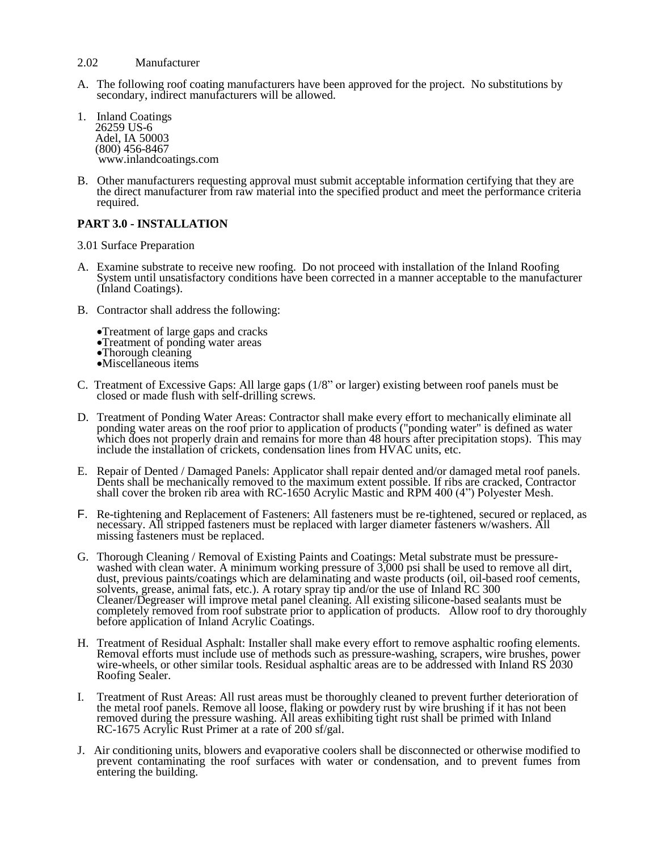- 2.02 Manufacturer
- A. The following roof coating manufacturers have been approved for the project. No substitutions by secondary, indirect manufacturers will be allowed.
- 1. Inland Coatings 26259 US-6 Adel, IA 50003 (800) 456-8467 www.inlandcoatings.com
- B. Other manufacturers requesting approval must submit acceptable information certifying that they are the direct manufacturer from raw material into the specified product and meet the performance criteria required.

# **PART 3.0 - INSTALLATION**

3.01 Surface Preparation

- A. Examine substrate to receive new roofing. Do not proceed with installation of the Inland Roofing System until unsatisfactory conditions have been corrected in a manner acceptable to the manufacturer (Inland Coatings).
- B. Contractor shall address the following:
	- •Treatment of large gaps and cracks
	- •Treatment of ponding water areas
	- •Thorough cleaning
	- •Miscellaneous items
- C. Treatment of Excessive Gaps: All large gaps (1/8" or larger) existing between roof panels must be closed or made flush with self-drilling screws.
- D. Treatment of Ponding Water Areas: Contractor shall make every effort to mechanically eliminate all ponding water areas on the roof prior to application of products ("ponding water" is defined as water which does not properly drain and remains for more than 48 hours after precipitation stops). This may include the installation of crickets, condensation lines from HVAC units, etc.
- E. Repair of Dented / Damaged Panels: Applicator shall repair dented and/or damaged metal roof panels. Dents shall be mechanically removed to the maximum extent possible. If ribs are cracked, Contractor shall cover the broken rib area with RC-1650 Acrylic Mastic and RPM 400 (4") Polyester Mesh.
- F. Re-tightening and Replacement of Fasteners: All fasteners must be re-tightened, secured or replaced, as necessary. All stripped fasteners must be replaced with larger diameter fasteners w/washers. All missing fasteners must be replaced.
- G. Thorough Cleaning / Removal of Existing Paints and Coatings: Metal substrate must be pressurewashed with clean water. A minimum working pressure of 3,000 psi shall be used to remove all dirt, dust, previous paints/coatings which are delaminating and waste products (oil, oil-based roof cements, solvents, grease, animal fats, etc.). A rotary spray tip and/or the use of Inland RC 300 Cleaner/Degreaser will improve metal panel cleaning. All existing silicone-based sealants must be completely removed from roof substrate prior to application of products. Allow roof to dry thoroughly before application of Inland Acrylic Coatings.
- H. Treatment of Residual Asphalt: Installer shall make every effort to remove asphaltic roofing elements. Removal efforts must include use of methods such as pressure-washing, scrapers, wire brushes, power wire-wheels, or other similar tools. Residual asphaltic areas are to be addressed with Inland RS 2030 Roofing Sealer.
- I. Treatment of Rust Areas: All rust areas must be thoroughly cleaned to prevent further deterioration of the metal roof panels. Remove all loose, flaking or powdery rust by wire brushing if it has not been removed during the pressure washing. All areas exhibiting tight rust shall be primed with Inland RC-1675 Acrylic Rust Primer at a rate of 200 sf/gal.
- J. Air conditioning units, blowers and evaporative coolers shall be disconnected or otherwise modified to prevent contaminating the roof surfaces with water or condensation, and to prevent fumes from entering the building.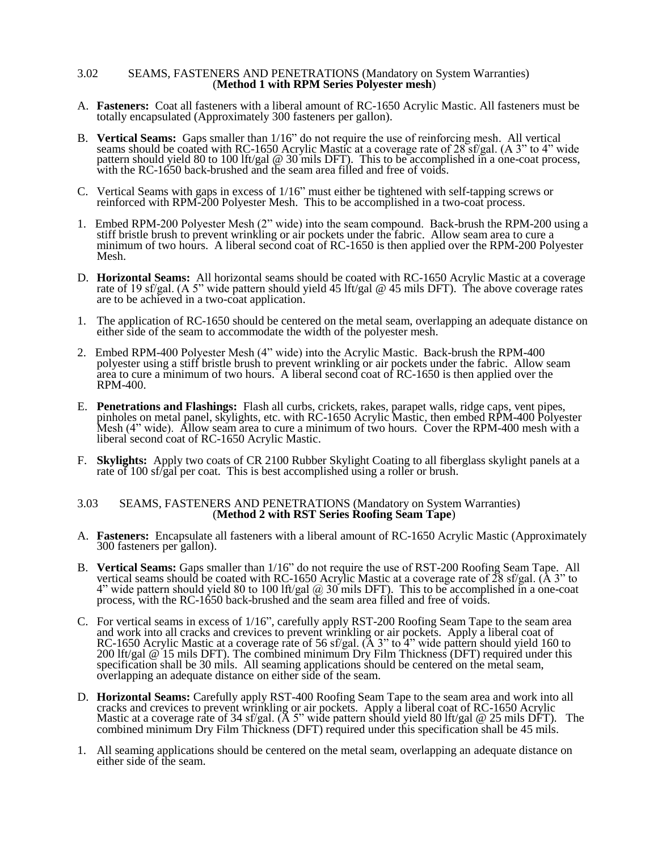#### 3.02 SEAMS, FASTENERS AND PENETRATIONS (Mandatory on System Warranties) (**Method 1 with RPM Series Polyester mesh**)

- A. **Fasteners:** Coat all fasteners with a liberal amount of RC-1650 Acrylic Mastic. All fasteners must be totally encapsulated (Approximately 300 fasteners per gallon).
- B. **Vertical Seams:** Gaps smaller than 1/16" do not require the use of reinforcing mesh. All vertical seams should be coated with RC-1650 Acrylic Mastic at a coverage rate of 28 sf/gal. (A 3" to 4" wide pattern should yield 80 to 100 lft/gal @ 30 mils DFT). This to be accomplished in a one-coat process, with the RC-1650 back-brushed and the seam area filled and free of voids.
- C. Vertical Seams with gaps in excess of 1/16" must either be tightened with self-tapping screws or reinforced with RPM-200 Polyester Mesh. This to be accomplished in a two-coat process.
- 1. Embed RPM-200 Polyester Mesh (2" wide) into the seam compound. Back-brush the RPM-200 using a stiff bristle brush to prevent wrinkling or air pockets under the fabric. Allow seam area to cure a minimum of two hours. A liberal second coat of RC-1650 is then applied over the RPM-200 Polyester Mesh.
- D. **Horizontal Seams:** All horizontal seams should be coated with RC-1650 Acrylic Mastic at a coverage rate of 19 sf/gal. (A 5" wide pattern should yield 45 lft/gal @ 45 mils DFT). The above coverage rates are to be achieved in a two-coat application.
- 1. The application of RC-1650 should be centered on the metal seam, overlapping an adequate distance on either side of the seam to accommodate the width of the polyester mesh.
- 2. Embed RPM-400 Polyester Mesh (4" wide) into the Acrylic Mastic. Back-brush the RPM-400 polyester using a stiff bristle brush to prevent wrinkling or air pockets under the fabric. Allow seam area to cure a minimum of two hours. A liberal second coat of RC-1650 is then applied over the RPM-400.
- E. **Penetrations and Flashings:** Flash all curbs, crickets, rakes, parapet walls, ridge caps, vent pipes, pinholes on metal panel, skylights, etc. with RC-1650 Acrylic Mastic, then embed RPM-400 Polyester Mesh (4" wide). Allow seam area to cure a minimum of two hours. Cover the RPM-400 mesh with a liberal second coat of RC-1650 Acrylic Mastic.
- F. **Skylights:** Apply two coats of CR 2100 Rubber Skylight Coating to all fiberglass skylight panels at a rate of 100 sf/gal per coat. This is best accomplished using a roller or brush.

#### 3.03 SEAMS, FASTENERS AND PENETRATIONS (Mandatory on System Warranties) (**Method 2 with RST Series Roofing Seam Tape**)

- A. **Fasteners:** Encapsulate all fasteners with a liberal amount of RC-1650 Acrylic Mastic (Approximately 300 fasteners per gallon).
- B. **Vertical Seams:** Gaps smaller than 1/16" do not require the use of RST-200 Roofing Seam Tape. All vertical seams should be coated with RC-1650 Acrylic Mastic at a coverage rate of  $\tilde{28}$  sf/gal. ( $\AA$  3" to 4" wide pattern should yield 80 to 100 lft/gal  $@$  30 mils DFT). This to be accomplished in a one-coat process, with the RC-1650 back-brushed and the seam area filled and free of voids.
- C. For vertical seams in excess of 1/16", carefully apply RST-200 Roofing Seam Tape to the seam area and work into all cracks and crevices to prevent wrinkling or air pockets. Apply a liberal coat of RC-1650 Acrylic Mastic at a coverage rate of 56 sf/gal. ( $\AA$  3" to 4" wide pattern should yield 160 to 200 lft/gal @ 15 mils DFT). The combined minimum Dry Film Thickness (DFT) required under this specification shall be 30 mils. All seaming applications should be centered on the metal seam, overlapping an adequate distance on either side of the seam.
- D. **Horizontal Seams:** Carefully apply RST-400 Roofing Seam Tape to the seam area and work into all cracks and crevices to prevent wrinkling or air pockets. Apply a liberal coat of RC-1650 Acrylic Mastic at a coverage rate of 34 sf/gal. (A 5" wide pattern should yield 80 lft/gal @ 25 mils DFT). The combined minimum Dry Film Thickness (DFT) required under this specification shall be 45 mils.
- 1. All seaming applications should be centered on the metal seam, overlapping an adequate distance on either side of the seam.